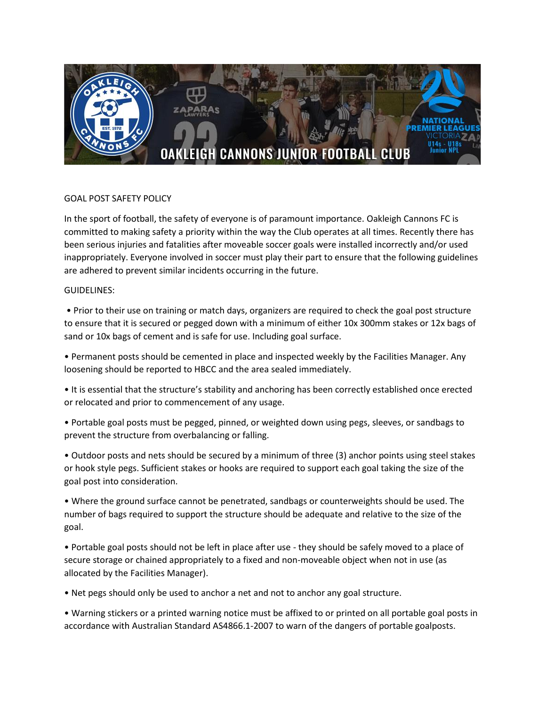

## GOAL POST SAFETY POLICY

In the sport of football, the safety of everyone is of paramount importance. Oakleigh Cannons FC is committed to making safety a priority within the way the Club operates at all times. Recently there has been serious injuries and fatalities after moveable soccer goals were installed incorrectly and/or used inappropriately. Everyone involved in soccer must play their part to ensure that the following guidelines are adhered to prevent similar incidents occurring in the future.

## GUIDELINES:

• Prior to their use on training or match days, organizers are required to check the goal post structure to ensure that it is secured or pegged down with a minimum of either 10x 300mm stakes or 12x bags of sand or 10x bags of cement and is safe for use. Including goal surface.

• Permanent posts should be cemented in place and inspected weekly by the Facilities Manager. Any loosening should be reported to HBCC and the area sealed immediately.

• It is essential that the structure's stability and anchoring has been correctly established once erected or relocated and prior to commencement of any usage.

• Portable goal posts must be pegged, pinned, or weighted down using pegs, sleeves, or sandbags to prevent the structure from overbalancing or falling.

• Outdoor posts and nets should be secured by a minimum of three (3) anchor points using steel stakes or hook style pegs. Sufficient stakes or hooks are required to support each goal taking the size of the goal post into consideration.

• Where the ground surface cannot be penetrated, sandbags or counterweights should be used. The number of bags required to support the structure should be adequate and relative to the size of the goal.

• Portable goal posts should not be left in place after use - they should be safely moved to a place of secure storage or chained appropriately to a fixed and non-moveable object when not in use (as allocated by the Facilities Manager).

• Net pegs should only be used to anchor a net and not to anchor any goal structure.

• Warning stickers or a printed warning notice must be affixed to or printed on all portable goal posts in accordance with Australian Standard AS4866.1-2007 to warn of the dangers of portable goalposts.